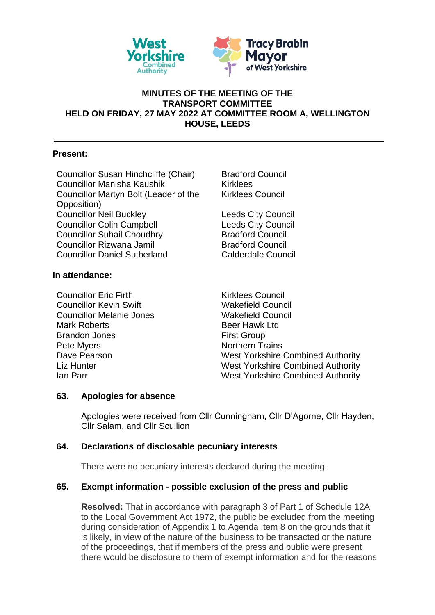

# **MINUTES OF THE MEETING OF THE TRANSPORT COMMITTEE HELD ON FRIDAY, 27 MAY 2022 AT COMMITTEE ROOM A, WELLINGTON HOUSE, LEEDS**

# **Present:**

Councillor Susan Hinchcliffe (Chair) Bradford Council Councillor Manisha Kaushik Kirklees Councillor Martyn Bolt (Leader of the Opposition) **Councillor Neil Buckley Council Leeds City Council** Councillor Colin Campbell **Leeds City Council** Councillor Suhail Choudhry **Bradford Council** Councillor Rizwana Jamil Bradford Council Councillor Daniel Sutherland Calderdale Council

# **In attendance:**

Councillor Fric Firth Kirklees Council Councillor Kevin Swift Wakefield Council Councillor Melanie Jones Wakefield Council Mark Roberts **Beer Hawk Ltd** Brandon Jones **First Group** Pete Myers Northern Trains

Kirklees Council

Dave Pearson **Nest Yorkshire Combined Authority** Liz Hunter Nest Yorkshire Combined Authority Ian Parr West Yorkshire Combined Authority

#### **63. Apologies for absence**

Apologies were received from Cllr Cunningham, Cllr D'Agorne, Cllr Hayden, Cllr Salam, and Cllr Scullion

# **64. Declarations of disclosable pecuniary interests**

There were no pecuniary interests declared during the meeting.

# **65. Exempt information - possible exclusion of the press and public**

**Resolved:** That in accordance with paragraph 3 of Part 1 of Schedule 12A to the Local Government Act 1972, the public be excluded from the meeting during consideration of Appendix 1 to Agenda Item 8 on the grounds that it is likely, in view of the nature of the business to be transacted or the nature of the proceedings, that if members of the press and public were present there would be disclosure to them of exempt information and for the reasons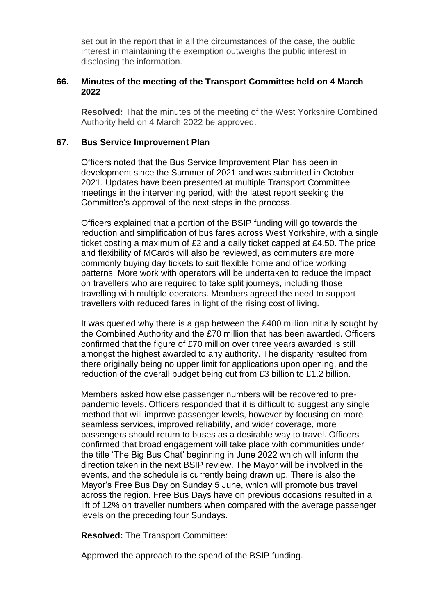set out in the report that in all the circumstances of the case, the public interest in maintaining the exemption outweighs the public interest in disclosing the information.

### **66. Minutes of the meeting of the Transport Committee held on 4 March 2022**

**Resolved:** That the minutes of the meeting of the West Yorkshire Combined Authority held on 4 March 2022 be approved.

### **67. Bus Service Improvement Plan**

Officers noted that the Bus Service Improvement Plan has been in development since the Summer of 2021 and was submitted in October 2021. Updates have been presented at multiple Transport Committee meetings in the intervening period, with the latest report seeking the Committee's approval of the next steps in the process.

Officers explained that a portion of the BSIP funding will go towards the reduction and simplification of bus fares across West Yorkshire, with a single ticket costing a maximum of £2 and a daily ticket capped at £4.50. The price and flexibility of MCards will also be reviewed, as commuters are more commonly buying day tickets to suit flexible home and office working patterns. More work with operators will be undertaken to reduce the impact on travellers who are required to take split journeys, including those travelling with multiple operators. Members agreed the need to support travellers with reduced fares in light of the rising cost of living.

It was queried why there is a gap between the £400 million initially sought by the Combined Authority and the £70 million that has been awarded. Officers confirmed that the figure of £70 million over three years awarded is still amongst the highest awarded to any authority. The disparity resulted from there originally being no upper limit for applications upon opening, and the reduction of the overall budget being cut from £3 billion to £1.2 billion.

Members asked how else passenger numbers will be recovered to prepandemic levels. Officers responded that it is difficult to suggest any single method that will improve passenger levels, however by focusing on more seamless services, improved reliability, and wider coverage, more passengers should return to buses as a desirable way to travel. Officers confirmed that broad engagement will take place with communities under the title 'The Big Bus Chat' beginning in June 2022 which will inform the direction taken in the next BSIP review. The Mayor will be involved in the events, and the schedule is currently being drawn up. There is also the Mayor's Free Bus Day on Sunday 5 June, which will promote bus travel across the region. Free Bus Days have on previous occasions resulted in a lift of 12% on traveller numbers when compared with the average passenger levels on the preceding four Sundays.

**Resolved:** The Transport Committee:

Approved the approach to the spend of the BSIP funding.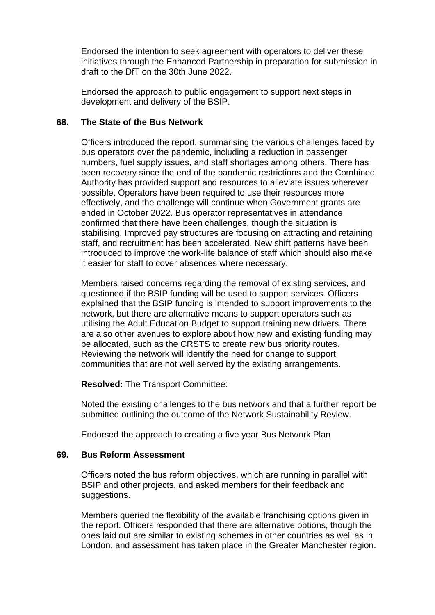Endorsed the intention to seek agreement with operators to deliver these initiatives through the Enhanced Partnership in preparation for submission in draft to the DfT on the 30th June 2022.

Endorsed the approach to public engagement to support next steps in development and delivery of the BSIP.

### **68. The State of the Bus Network**

Officers introduced the report, summarising the various challenges faced by bus operators over the pandemic, including a reduction in passenger numbers, fuel supply issues, and staff shortages among others. There has been recovery since the end of the pandemic restrictions and the Combined Authority has provided support and resources to alleviate issues wherever possible. Operators have been required to use their resources more effectively, and the challenge will continue when Government grants are ended in October 2022. Bus operator representatives in attendance confirmed that there have been challenges, though the situation is stabilising. Improved pay structures are focusing on attracting and retaining staff, and recruitment has been accelerated. New shift patterns have been introduced to improve the work-life balance of staff which should also make it easier for staff to cover absences where necessary.

Members raised concerns regarding the removal of existing services, and questioned if the BSIP funding will be used to support services. Officers explained that the BSIP funding is intended to support improvements to the network, but there are alternative means to support operators such as utilising the Adult Education Budget to support training new drivers. There are also other avenues to explore about how new and existing funding may be allocated, such as the CRSTS to create new bus priority routes. Reviewing the network will identify the need for change to support communities that are not well served by the existing arrangements.

**Resolved:** The Transport Committee:

Noted the existing challenges to the bus network and that a further report be submitted outlining the outcome of the Network Sustainability Review.

Endorsed the approach to creating a five year Bus Network Plan

# **69. Bus Reform Assessment**

Officers noted the bus reform objectives, which are running in parallel with BSIP and other projects, and asked members for their feedback and suggestions.

Members queried the flexibility of the available franchising options given in the report. Officers responded that there are alternative options, though the ones laid out are similar to existing schemes in other countries as well as in London, and assessment has taken place in the Greater Manchester region.